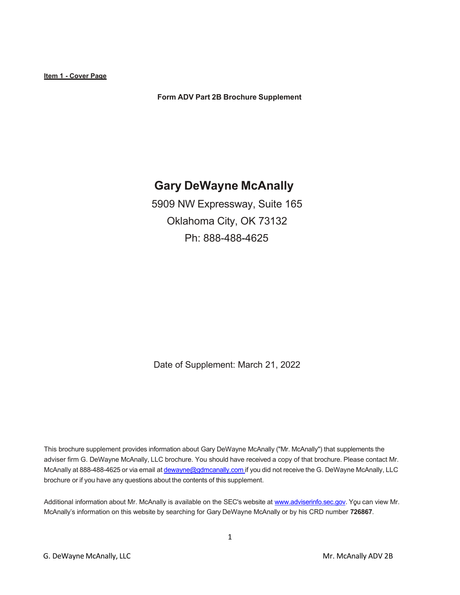**Item 1 - Cover Page**

**Form ADV Part 2B Brochure Supplement**

# **Gary DeWayne McAnally**

5909 NW Expressway, Suite 165 Oklahoma City, OK 73132 Ph: 888-488-4625

Date of Supplement: March 21, 2022

This brochure supplement provides information about Gary DeWayne McAnally ("Mr. McAnally") that supplements the adviser firm G. DeWayne McAnally, LLC brochure. You should have received a copy of that brochure. Please contact Mr. McAnally at 888-488-4625 or via email at [dewayne@gdmcanally.com](mailto:dewayne@gdmcanally.com) if you did not receive the G. DeWayne McAnally, LLC brochure or if you have any questions about the contents of this supplement.

Additional information about Mr. McAnally is available on the SEC's website a[t www.adviserinfo.sec.gov.](http://www.adviserinfo.sec.gov/) You can view Mr. McAnally's information on this website by searching for Gary DeWayne McAnally or by his CRD number **726867**.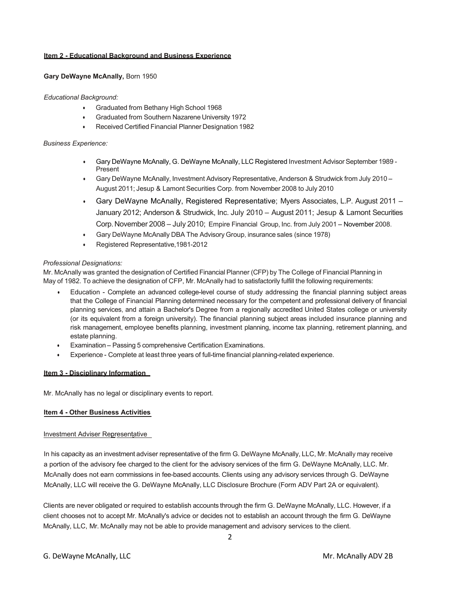# **Item 2 - Educational Background and Business Experience**

## **Gary DeWayne McAnally,** Born 1950

## *Educational Background:*

- Graduated from Bethany High School 1968
- Graduated from Southern Nazarene University 1972
- Received Certified Financial Planner Designation 1982

## *Business Experience:*

- Gary DeWayne McAnally, G. DeWayne McAnally, LLC Registered Investment Advisor September 1989 Present
- Gary DeWayne McAnally, Investment Advisory Representative, Anderson & Strudwick from July 2010 August 2011; Jesup & Lamont Securities Corp. from November 2008 to July 2010
- Gary DeWayne McAnally, Registered Representative; Myers Associates, L.P. August 2011 January 2012; Anderson & Strudwick, Inc. July 2010 – August 2011; Jesup & Lamont Securities Corp.November 2008 – July 2010; Empire Financial Group, Inc. from July 2001 – November 2008.
- Gary DeWayne McAnally DBA The Advisory Group, insurance sales (since 1978)
- Registered Representative,1981-2012

## *Professional Designations:*

Mr. McAnally was granted the designation of Certified Financial Planner (CFP) by The College of Financial Planning in May of 1982. To achieve the designation of CFP, Mr. McAnally had to satisfactorily fulfill the following requirements:

- Education Complete an advanced college-level course of study addressing the financial planning subject areas that the College of Financial Planning determined necessary for the competent and professional delivery of financial planning services, and attain a Bachelor's Degree from a regionally accredited United States college or university (or its equivalent from a foreign university). The financial planning subject areas included insurance planning and risk management, employee benefits planning, investment planning, income tax planning, retirement planning, and estate planning.
- Examination Passing 5 comprehensive Certification Examinations.
- Experience Complete at least three years of full-time financial planning-related experience.

## **Item 3 - Disciplinary Information**

Mr. McAnally has no legal or disciplinary events to report.

# **Item 4 - Other Business Activities**

## Investment Adviser Representative

In his capacity as an investment adviser representative of the firm G. DeWayne McAnally, LLC, Mr. McAnally may receive a portion of the advisory fee charged to the client for the advisory services of the firm G. DeWayne McAnally, LLC. Mr. McAnally does not earn commissions in fee-based accounts. Clients using any advisory services through G. DeWayne McAnally, LLC will receive the G. DeWayne McAnally, LLC Disclosure Brochure (Form ADV Part 2A or equivalent).

Clients are never obligated or required to establish accounts through the firm G. DeWayne McAnally, LLC. However, if a client chooses not to accept Mr. McAnally's advice or decides not to establish an account through the firm G. DeWayne McAnally, LLC, Mr. McAnally may not be able to provide management and advisory services to the client.